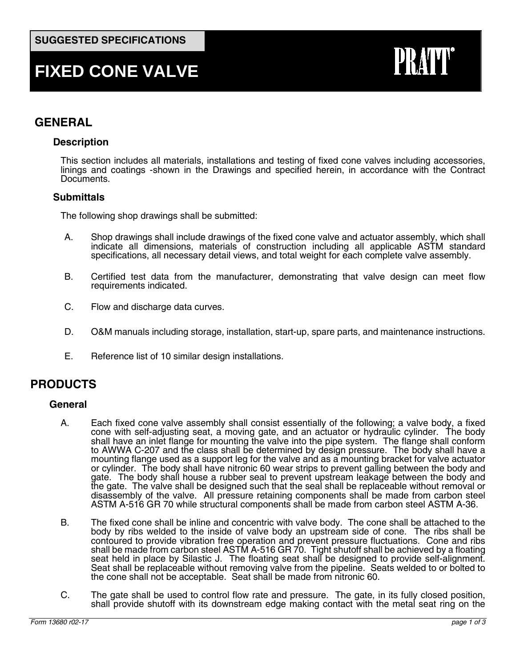# **FIXED CONE VALVE**

# **PRAT**

## **GENERAL**

#### **Description**

This section includes all materials, installations and testing of fixed cone valves including accessories, linings and coatings -shown in the Drawings and specified herein, in accordance with the Contract Documents.

#### **Submittals**

The following shop drawings shall be submitted:

- A. Shop drawings shall include drawings of the fixed cone valve and actuator assembly, which shall indicate all dimensions, materials of construction including all applicable ASTM standard specifications, all necessary detail views, and total weight for each complete valve assembly.
- B. Certified test data from the manufacturer, demonstrating that valve design can meet flow requirements indicated.
- C. Flow and discharge data curves.
- D. O&M manuals including storage, installation, start-up, spare parts, and maintenance instructions.
- E. Reference list of 10 similar design installations.

### **PRODUCTS**

#### **General**

- A. Each fixed cone valve assembly shall consist essentially of the following; a valve body, a fixed cone with self-adjusting seat, a moving gate, and an actuator or hydraulic cylinder. The body shall have an inlet flange for mounting the valve into the pipe system. The flange shall conform to AWWA C-207 and the class shall be determined by design pressure. The body shall have a mounting flange used as a support leg for the valve and as a mounting bracket for valve actuator or cylinder. The body shall have nitronic 60 wear strips to prevent galling between the body and gate. The body shall house a rubber seal to prevent upstream leakage between the body and the gate. The valve shall be designed such that the seal shall be replaceable without removal or disassembly of the valve. All pressure retaining components shall be made from carbon steel ASTM A-516 GR 70 while structural components shall be made from carbon steel ASTM A-36.
- B. The fixed cone shall be inline and concentric with valve body. The cone shall be attached to the body by ribs welded to the inside of valve body an upstream side of cone. The ribs shall be contoured to provide vibration free operation and prevent pressure fluctuations. Cone and ribs shall be made from carbon steel ASTM A-516 GR 70. Tight shutoff shall be achieved by a floating seat held in place by Silastic J. The floating seat shall be designed to provide self-alignment. Seat shall be replaceable without removing valve from the pipeline. Seats welded to or bolted to the cone shall not be acceptable. Seat shall be made from nitronic 60.
- C. The gate shall be used to control flow rate and pressure. The gate, in its fully closed position, shall provide shutoff with its downstream edge making contact with the metal seat ring on the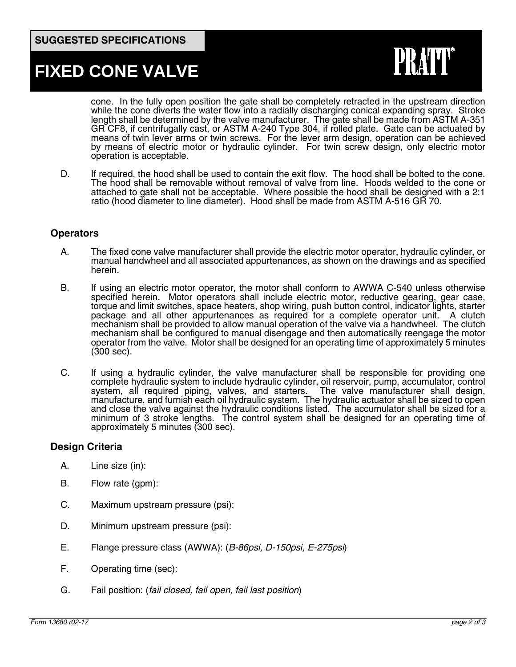## **FIXED CONE VALVE**

PR,

cone. In the fully open position the gate shall be completely retracted in the upstream direction while the cone diverts the water flow into a radially discharging conical expanding spray. Stroke length shall be determined by the valve manufacturer. The gate shall be made from ASTM A-351 GR CF8, if centrifugally cast, or ASTM A-240 Type 304, if rolled plate. Gate can be actuated by means of twin lever arms or twin screws. For the lever arm design, operation can be achieved by means of electric motor or hydraulic cylinder. For twin screw design, only electric motor operation is acceptable.

D. If required, the hood shall be used to contain the exit flow. The hood shall be bolted to the cone. The hood shall be removable without removal of valve from line. Hoods welded to the cone or attached to gate shall not be acceptable. Where possible the hood shall be designed with a 2:1 ratio (hood diameter to line diameter). Hood shall be made from ASTM A-516 GR 70.

#### **Operators**

- A. The fixed cone valve manufacturer shall provide the electric motor operator, hydraulic cylinder, or manual handwheel and all associated appurtenances, as shown on the drawings and as specified herein.
- B. If using an electric motor operator, the motor shall conform to AWWA C-540 unless otherwise specified herein. Motor operators shall include electric motor, reductive gearing, gear case, torque and limit switches, space heaters, shop wiring, push button control, indicator lights, starter package and all other appurtenances as required for a complete operator unit. A clutch mechanism shall be provided to allow manual operation of the valve via a handwheel. The clutch mechanism shall be configured to manual disengage and then automatically reengage the motor operator from the valve. Motor shall be designed for an operating time of approximately 5 minutes (300 sec).
- C. If using a hydraulic cylinder, the valve manufacturer shall be responsible for providing one complete hydraulic system to include hydraulic cylinder, oil reservoir, pump, accumulator, control system, all required piping, valves, and starters. The valve manufacturer shall design, manufacture, and furnish each oil hydraulic system. The hydraulic actuator shall be sized to open and close the valve against the hydraulic conditions listed. The accumulator shall be sized for a minimum of 3 stroke lengths. The control system shall be designed for an operating time of approximately 5 minutes (300 sec).

#### **Design Criteria**

- A. Line size (in):
- B. Flow rate (gpm):
- C. Maximum upstream pressure (psi):
- D. Minimum upstream pressure (psi):
- E. Flange pressure class (AWWA): (*B-86psi, D-150psi, E-275psi*)
- F. Operating time (sec):
- G. Fail position: (*fail closed, fail open, fail last position*)